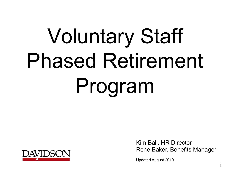# Voluntary Staff Phased Retirement Program



Kim Ball, HR Director Rene Baker, Benefits Manager

Updated August 2019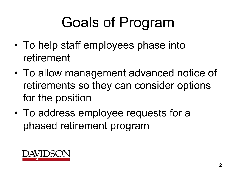### Goals of Program

- To help staff employees phase into retirement
- To allow management advanced notice of retirements so they can consider options for the position
- To address employee requests for a phased retirement program

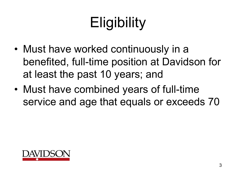## **Eligibility**

- Must have worked continuously in a benefited, full-time position at Davidson for at least the past 10 years; and
- Must have combined years of full-time service and age that equals or exceeds 70

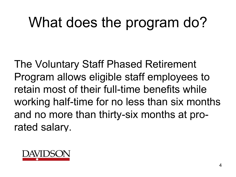#### What does the program do?

The Voluntary Staff Phased Retirement Program allows eligible staff employees to retain most of their full-time benefits while working half-time for no less than six months and no more than thirty-six months at prorated salary.

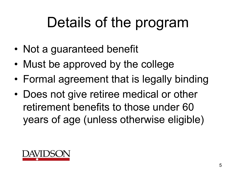#### Details of the program

- Not a guaranteed benefit
- Must be approved by the college
- Formal agreement that is legally binding
- Does not give retiree medical or other retirement benefits to those under 60 years of age (unless otherwise eligible)

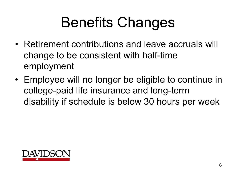## Benefits Changes

- Retirement contributions and leave accruals will change to be consistent with half-time employment
- Employee will no longer be eligible to continue in college-paid life insurance and long-term disability if schedule is below 30 hours per week

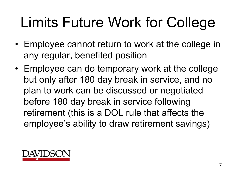## Limits Future Work for College

- Employee cannot return to work at the college in any regular, benefited position
- Employee can do temporary work at the college but only after 180 day break in service, and no plan to work can be discussed or negotiated before 180 day break in service following retirement (this is a DOL rule that affects the employee's ability to draw retirement savings)

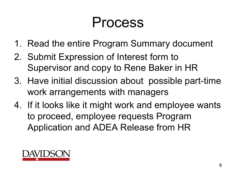#### Process

- 1. Read the entire Program Summary document
- 2. Submit Expression of Interest form to Supervisor and copy to Rene Baker in HR
- 3. Have initial discussion about possible part-time work arrangements with managers
- 4. If it looks like it might work and employee wants to proceed, employee requests Program Application and ADEA Release from HR

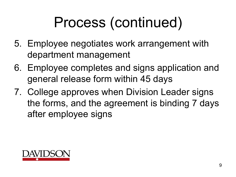## Process (continued)

- 5. Employee negotiates work arrangement with department management
- 6. Employee completes and signs application and general release form within 45 days
- 7. College approves when Division Leader signs the forms, and the agreement is binding 7 days after employee signs